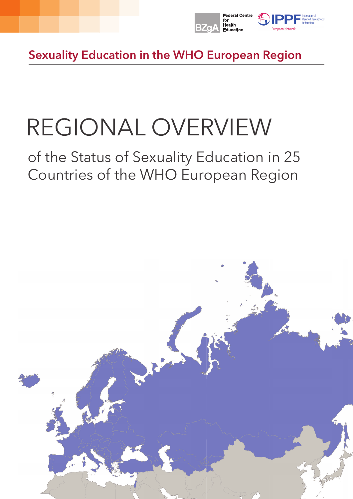

Sexuality Education in the WHO European Region

# REGIONAL OVERVIEW

# of the Status of Sexuality Education in 25 Countries of the WHO European Region

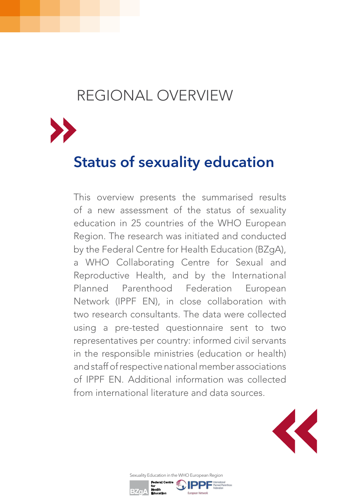## REGIONAL OVERVIEW



## Status of sexuality education

This overview presents the summarised results of a new assessment of the status of sexuality education in 25 countries of the WHO European Region. The research was initiated and conducted by the Federal Centre for Health Education (BZgA), a WHO Collaborating Centre for Sexual and Reproductive Health, and by the International Planned Parenthood Federation European Network (IPPF EN), in close collaboration with two research consultants. The data were collected using a pre-tested questionnaire sent to two representatives per country: informed civil servants in the responsible ministries (education or health) and staff of respective national member associations of IPPF EN. Additional information was collected from international literature and data sources.



Sexuality Education in the WHO European Region

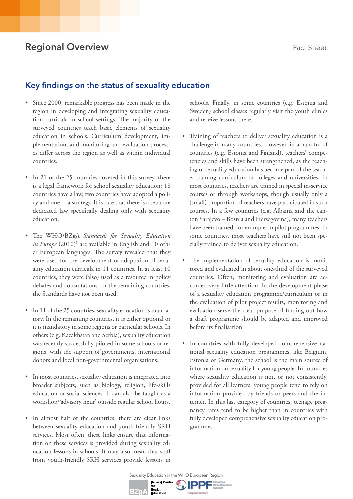#### Key findings on the status of sexuality education

- Since 2000, remarkable progress has been made in the region in developing and integrating sexuality education curricula in school settings. The majority of the surveyed countries teach basic elements of sexuality education in schools. Curriculum development, implementation, and monitoring and evaluation processes differ across the region as well as within individual countries.
- In 21 of the 25 countries covered in this survey, there is a legal framework for school sexuality education: 18 countries have a law, two countries have adopted a poli $cy$  and one  $-$  a strategy. It is rare that there is a separate dedicated law specifically dealing only with sexuality education.
- The WHO/BZgA *Standards for Sexuality Education in Europe* (2010)<sup>1</sup> are available in English and 10 other European languages. The survey revealed that they were used for the development or adaptation of sexuality education curricula in 11 countries. In at least 10 countries, they were (also) used as a resource in policy debates and consultations. In the remaining countries, the Standards have not been used.
- In 11 of the 25 countries, sexuality education is mandatory. In the remaining countries, it is either optional or it is mandatory in some regions or particular schools. In others (e.g. Kazakhstan and Serbia), sexuality education was recently successfully piloted in some schools or regions, with the support of governments, international donors and local non-governmental organisations.
- In most countries, sexuality education is integrated into broader subjects, such as biology, religion, life-skills education or social sciences. It can also be taught as a workshop/'advisory hour' outside regular school hours.
- In almost half of the countries, there are clear links between sexuality education and youth-friendly SRH services. Most often, these links ensure that information on these services is provided during sexuality education lessons in schools. It may also mean that staff from youth-friendly SRH services provide lessons in

schools. Finally, in some countries (e.g. Estonia and Sweden) school classes regularly visit the youth clinics and receive lessons there.

- Training of teachers to deliver sexuality education is a challenge in many countries. However, in a handful of countries (e.g. Estonia and Finland), teachers' competencies and skills have been strengthened, as the teaching of sexuality education has become part of the teacher-training curriculum at colleges and universities. In most countries, teachers are trained in special in-service courses or through workshops, though usually only a (small) proportion of teachers have participated in such courses. In a few countries (e.g. Albania and the canton Sarajevo – Bosnia and Herzegovina), many teachers have been trained, for example, in pilot programmes. In some countries, most teachers have still not been specially trained to deliver sexuality education.
- The implementation of sexuality education is monitored and evaluated in about one-third of the surveyed countries. Often, monitoring and evaluation are accorded very little attention. In the development phase of a sexuality education programme/curriculum or in the evaluation of pilot project results, monitoring and evaluation serve the clear purpose of finding out how a draft programme should be adapted and improved before its finalisation.
- In countries with fully developed comprehensive national sexuality education programmes, like Belgium, Estonia or Germany, the school is the main source of information on sexuality for young people. In countries where sexuality education is not, or not consistently, provided for all learners, young people tend to rely on information provided by friends or peers and the internet. In this last category of countries, teenage pregnancy rates tend to be higher than in countries with fully developed comprehensive sexuality education programmes.

Sexuality Education in the WHO European Region

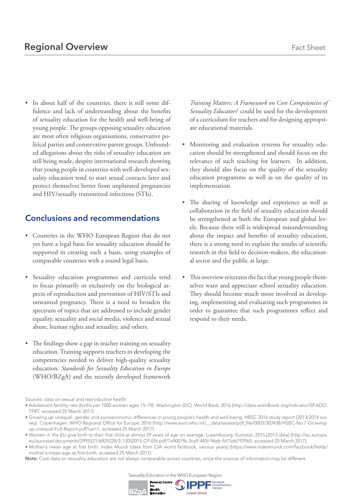- In about half of the countries, there is still some diffidence and lack of understanding about the benefits
- of sexuality education for the health and well-being of young people. The groups opposing sexuality education are most often religious organisations, conservative political parties and conservative parent groups. Unfounded allegations about the risks of sexuality education are still being made, despite international research showing that young people in countries with well-developed sexuality education tend to start sexual contacts later and protect themselves better from unplanned pregnancies and HIV/sexually transmitted infections (STIs).

#### Conclusions and recommendations

- Countries in the WHO European Region that do not yet have a legal basis for sexuality education should be supported in creating such a basis, using examples of comparable countries with a sound legal basis.
- Sexuality education programmes and curricula tend to focus primarily or exclusively on the biological aspects of reproduction and prevention of HIV/STIs and unwanted pregnancy. There is a need to broaden the spectrum of topics that are addressed to include gender equality, sexuality and social media, violence and sexual abuse, human rights and sexuality, and others.
- The findings show a gap in teacher training on sexuality education. Training supports teachers in developing the competencies needed to deliver high-quality sexuality education. *Standards for Sexuality Education in Europe* (WHO/BZgA) and the recently developed framework

*Training Matters: A Framework on Core Competencies of*  Sexuality Educators<sup>2</sup> could be used for the development of a curriculum for teachers and for designing appropriate educational materials.

- Monitoring and evaluation systems for sexuality education should be strengthened and should focus on the relevance of such teaching for learners. In addition, they should also focus on the quality of the sexuality education programme as well as on the quality of its implementation.
- The sharing of knowledge and experience as well as collaboration in the field of sexuality education should be strengthened at both the European and global levels. Because there still is widespread misunderstanding about the impact and benefits of sexuality education, there is a strong need to explain the results of scientific research in this field to decision-makers, the educational sector and the public at large.
- This overview reiterates the fact that young people themselves want and appreciate school sexuality education. They should become much more involved in developing, implementing and evaluating such programmes in order to guarantee that such programmes reflect and respond to their needs.

Sources: data on sexual and reproductive health



<sup>•</sup> Adolescent fertility rate (births per 1000 women ages 15–19). Washington (DC): World Bank; 2016 (http://data.worldbank.org/indicator/SP.ADO. TFRT, accessed 25 March 2017).

<sup>•</sup> Growing up unequal: gender and socioeconomic differences in young people's health and well-being. HBSC 2016 study report (2013/2014 survey). Copenhagen: WHO Regional Office for Europe; 2016 (http://www.euro.who.int/\_\_data/assets/pdf\_file/0003/303438/HSBC-No.7-Growingup-unequal-Full-Report.pdf?ua=1, accessed 25 March 2017).

<sup>•</sup> Women in the EU give birth to their first child at almost 29 years of age on average. Luxembourg: Eurostat; 2015 [2013 data] (http://ec.europa. eu/eurostat/documents/2995521/6829228/3-13052015-CP-EN.pdf/7e9007fb-3ca9-445f-96eb-fd75d6792965, accessed 25 March 2017).

<sup>•</sup> Mother's mean age at first birth. Index Mundi {data from CIA world factbook, various years] (https://www.indexmundi.com/factbook/fields/ mother's-mean-age-at-first-birth, accessed 25 March 2017).

Note: Core data on sexuality education are not always comparable across countries, since the sources of information may be different.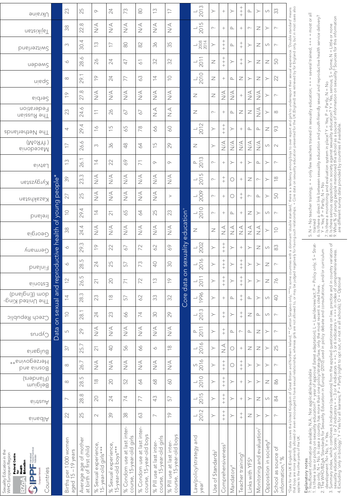| Ukraine                                                                                                                               |           | 23                                        | 25                                               | $\circlearrowright$                            | 24                                          | 73                                                       | $\rm ^{\rm 6}$                                          | $\widetilde{\Box}$                                        | $\overline{\phantom{0}}$                                 |                        | 2013<br>$\overline{\phantom{0}}$             | $\succ$                       | $^{+}$                                     | ≻                      | $+$<br>+                                   | ∟                           | ≻                                      | $\cup$                             | 33                                                           |                                                                                                                                                                                                                                   |                                                                                                                                                                                                                          |
|---------------------------------------------------------------------------------------------------------------------------------------|-----------|-------------------------------------------|--------------------------------------------------|------------------------------------------------|---------------------------------------------|----------------------------------------------------------|---------------------------------------------------------|-----------------------------------------------------------|----------------------------------------------------------|------------------------|----------------------------------------------|-------------------------------|--------------------------------------------|------------------------|--------------------------------------------|-----------------------------|----------------------------------------|------------------------------------|--------------------------------------------------------------|-----------------------------------------------------------------------------------------------------------------------------------------------------------------------------------------------------------------------------------|--------------------------------------------------------------------------------------------------------------------------------------------------------------------------------------------------------------------------|
| nstaixijeT                                                                                                                            |           | 38                                        | 22.8                                             | $\stackrel{\triangleleft}{\geq}$               | $\stackrel{\triangleleft}{\geq}$            | $\underset{\text{N}}{\leq}$                              | $\leq$                                                  | $\stackrel{\triangleleft}{\geq}$                          | $\underset{\text{N}}{\leq}$                              |                        | 2015<br>$\overline{\phantom{0}}$             | $\sim$                        | $^{+}$                                     | $\square$              | $^{+}$                                     | $\sim$                      | $\mathbb Z$                            | $\succ$                            | $\sim$                                                       |                                                                                                                                                                                                                                   |                                                                                                                                                                                                                          |
| bnsherland                                                                                                                            |           | S                                         | 30.4                                             | $\widetilde{\Box}$                             | $\overline{\phantom{0}}$                    | $\rm 80$                                                 | $\approx$                                               | 36                                                        | 35                                                       |                        | $\frac{1}{2008}$                             | $\succ$                       | $+$<br>+ +                                 | $\square$              | $+$                                        | ≻                           | $\geq$                                 | $\cup$                             | $\sim$                                                       |                                                                                                                                                                                                                                   |                                                                                                                                                                                                                          |
| иәрәмς                                                                                                                                |           | $\circlearrowleft$                        | 28.6                                             | 26                                             | 24                                          | 47                                                       | $\overline{6}$                                          | 32                                                        | 32                                                       |                        | $\frac{L}{2011}$                             | $\mathbb Z$                   | $\begin{array}{c} + \\ + \end{array}$      | ≻                      | $+$                                        | ≻                           | $\geq$                                 | $\mathbb Z$                        | 50                                                           |                                                                                                                                                                                                                                   | $=$ several trained; $+++$ $=$ most or all                                                                                                                                                                               |
| ning2                                                                                                                                 |           | $\infty$                                  | 29.1                                             | $\overline{C}$                                 | 24                                          | 77                                                       | 63                                                      | $\overline{4}$                                            | $\subseteq$                                              |                        | $\frac{L}{2010}$                             | Z                             | $^{+}$                                     | $\mathbf{r}$           | Ζ                                          | ≻                           | Ζ                                      | $\succ$                            | 22                                                           |                                                                                                                                                                                                                                   |                                                                                                                                                                                                                          |
| Serbia                                                                                                                                |           | $\overline{C}$                            | $\odot$<br>27                                    | $\underset{\text{N}}{\leq}$                    | $\underset{\text{N}}{\leq}$                 | $\underset{\text{N}}{\leq}$                              | $\leq$                                                  | $\underset{\text{N}}{\leq}$                               | $\underset{\text{N}}{\leq}$                              |                        | Ζ                                            | $\overline{z}$                | $\underset{\text{N}}{\triangle}$           | $\leq$                 | $\! + \!\!\!\!$                            | $\leq$                      | $\leq$                                 | $\succ$                            | $\sim$                                                       |                                                                                                                                                                                                                                   |                                                                                                                                                                                                                          |
| Federation<br>The Russian                                                                                                             |           | 23                                        | 24.6                                             | $\overline{\overline{\phantom{0}}\phantom{0}}$ | 26                                          | 67                                                       | 67                                                      | $\leq$                                                    | $\leq$                                                   |                        | $\geq$                                       | $\sim$                        | $^{+}$                                     | $\square$              | Ζ                                          | $\mathsf{Z}$                | $\leq$                                 | $\succ$                            | $\infty$                                                     |                                                                                                                                                                                                                                   |                                                                                                                                                                                                                          |
| The Netherlands                                                                                                                       |           | 4                                         | 29.4                                             | $\frac{6}{1}$                                  | $\frac{1}{2}$                               | 59                                                       | 78                                                      | 66                                                        | $\circ$                                                  |                        | $\frac{L}{2012}$                             | $\succ$                       | $^{+}_{+}$                                 | $\succ$                | $^{+}$                                     | $\mathrel{\mathsf{a}}$      | $\square$                              | $\mathbb Z$                        | 93                                                           |                                                                                                                                                                                                                                   |                                                                                                                                                                                                                          |
| (MoAR)<br>Macedonia                                                                                                                   |           | $\overline{\phantom{0}}$                  | 26.6                                             | S                                              | 36                                          | 48                                                       | 64                                                      | $\Box$<br>$\overline{\phantom{m}}$                        | 29                                                       |                        | $\mathbb Z$                                  | $\succ$                       | $\leq$                                     | $\leq$                 | $\underset{\text{N}}{\leq}$                | $\sum\limits_{i=1}^{n}$     | $\leq$                                 | $\cup$                             | $\sim$                                                       |                                                                                                                                                                                                                                   |                                                                                                                                                                                                                          |
| Latvia                                                                                                                                |           | S<br>$\overline{\phantom{0}}$             | 26.1                                             | $\overline{4}$                                 | 22                                          | 69                                                       | $\overline{7}$                                          | $\circlearrowright$                                       | $\circ$                                                  |                        | $P$<br>2013                                  | $\sim\cdot$                   | $^{+}$                                     | $\succ$                | $^{+}$                                     | ≻                           | ≏                                      | $\succ$                            | $\sim$                                                       | there is a tendency among boys to over report and girls to underreport their sexual experience. 'Double standard' means<br>Core data on sexuality education presented for the UK (England) was retrieved by for England only, but | = only few teachers trained in sexuality education; ++                                                                                                                                                                   |
| Kyrgyzstan                                                                                                                            | people*   | 39                                        | S<br>23.                                         | $\stackrel{\triangleleft}{\geq}$               | $\underset{\text{N}}{\leq}$                 | $\leq$                                                   | $\leq$                                                  | $\stackrel{\triangle}{\geq}$                              | $\underset{\text{N}}{\leq}$                              |                        | $\frac{1}{2015}$                             | $\sim$                        | $^+$                                       | $\circ$                | $^{+}$                                     | Z                           | $\sim$                                 | $\succ$                            | $\overset{\textstyle\circ}{\leftarrow}$                      |                                                                                                                                                                                                                                   |                                                                                                                                                                                                                          |
| Kasakhstan                                                                                                                            |           | 27                                        | 25                                               | $\stackrel{\triangleleft}{\geq}$               | $\underset{\text{N}}{\leq}$                 | $\leq$                                                   | $\leq$                                                  | $\leq$                                                    | $\,>$                                                    |                        | $\frac{L}{2009}$                             | $\sim\cdot$                   | $^+$                                       | О                      | $+$                                        | $\sim$                      | $\mathrel{\mathsf{a}}$                 | $\succ$                            | 50                                                           |                                                                                                                                                                                                                                   | N = No teacher training; +<br>trained                                                                                                                                                                                    |
| Ireland                                                                                                                               | of young  | $\supseteq$                               | 29.4                                             | $\overline{4}$                                 | $\overline{2}1$                             | 59                                                       | 54                                                      | 25                                                        | 23                                                       |                        | $\frac{1}{2010}$                             | $\sim$                        | $^{+}$                                     | $\square$              | $^{+}$                                     | Z                           | ≻                                      | S                                  | $\sim$                                                       |                                                                                                                                                                                                                                   |                                                                                                                                                                                                                          |
| Georgia                                                                                                                               | health    | 38                                        | 24.4                                             | $\stackrel{\triangleleft}{\geq}$               | $\stackrel{\triangleleft}{\geq}$            | $\stackrel{\triangleleft}{\geq}$                         | $\leq$                                                  | $\stackrel{\triangleleft}{\geq}$                          | $\underset{\textstyle\sim}{\leq}$                        | education <sup>+</sup> | Ζ                                            | $\overline{z}$                | $\frac{1}{2}$                              | A.N                    | $\leq$                                     | $\sum_{i=1}^{n}$            | $\frac{1}{2}$                          | $\succ$                            | $\subseteq$                                                  |                                                                                                                                                                                                                                   | LO.                                                                                                                                                                                                                      |
| Germany                                                                                                                               |           | 9                                         | 29.3                                             | $\overline{C}$                                 | 22                                          | 67                                                       | 72                                                      | 62                                                        | 69                                                       | sexuality              | $\frac{L}{2002}$                             | $\succ$                       | $+$<br>+ +                                 | $\succ$                | $^{+}$                                     | ≻                           | $\geq$                                 | $\cup$                             | 83                                                           |                                                                                                                                                                                                                                   | $=$ Strat-                                                                                                                                                                                                               |
| Finland                                                                                                                               | oductive  | $\circ$                                   | ഗ<br>28.                                         | 24                                             | 25                                          | 57                                                       | 73                                                      | $\sqrt{2}$                                                | SO                                                       |                        | 2016<br>$\overline{\phantom{0}}$             | $\succ$                       | $\begin{array}{c} + \\ + \\ + \end{array}$ | ≻                      | $\genfrac{}{}{0pt}{}{+}{+}{+}$             | $\succ$                     | $\succ$                                | $\geq$                             | $\sim$                                                       |                                                                                                                                                                                                                                   | only; S                                                                                                                                                                                                                  |
| Einote <sup>3</sup>                                                                                                                   | and repre | $\supseteq$                               | 26.5                                             | $\overline{\sim}$                              | $\infty$                                    | $\overline{7}$                                           | 72                                                      | $\widetilde{\Box}$                                        | $\frac{1}{2}$                                            | data or                | 2011<br>$\overline{\phantom{a}}$             | $\succ$                       | $\begin{array}{c} + \\ + \\ + \end{array}$ | $\succ$                | $\begin{array}{c} + \\ + \\ + \end{array}$ | $\succ$                     | $\succ$                                | $\geq$                             | 57                                                           |                                                                                                                                                                                                                                   |                                                                                                                                                                                                                          |
| (bnslgn3) mob<br>The United King-                                                                                                     |           | $\overline{4}$                            | 28.3                                             | 23                                             | $\frac{\infty}{\infty}$                     | 57                                                       | 62                                                      | 33                                                        | 32                                                       | Core                   | $\frac{1}{1996}$                             | $\succ$                       | $^{+}$                                     | $\square$              | $+$                                        | $\mathbf{r}$                | $\succ$                                | $\cup$                             | $\bigcirc$                                                   |                                                                                                                                                                                                                                   |                                                                                                                                                                                                                          |
| Czech Republic                                                                                                                        | on sexual | $\supseteq$                               | 28.1                                             | 24                                             | 23                                          | 66                                                       | 74                                                      | SO                                                        | 29                                                       |                        | 2013<br>$\overline{\phantom{0}}$             | $\succ$                       | $^+$                                       | $\succ$                | $+$                                        | $\geq$                      | $\square$                              | $\cup$                             | $\sim\cdot$                                                  |                                                                                                                                                                                                                                   |                                                                                                                                                                                                                          |
| Cyprus                                                                                                                                | Data      | $\Box$                                    | 29                                               | $\stackrel{\triangleleft}{\geq}$               | $\leq$                                      | $\frac{4}{2}$                                            | $\leq$                                                  | $\leq$                                                    | $\leq$                                                   |                        | 2011<br>∟                                    | $\succ$                       | $\begin{array}{c} + \\ + \end{array}$      | $\square$              | $\sim$                                     | $\square$                   | $\mathbb Z$                            | $\succ$                            | $\sim$                                                       |                                                                                                                                                                                                                                   |                                                                                                                                                                                                                          |
| Bulgaria                                                                                                                              |           | 37                                        | 25.7                                             | $\gtrsim$                                      | $\bigcirc$                                  | 56                                                       | 99                                                      | $\mathsf{C}$                                              | $\frac{\infty}{\infty}$                                  |                        | 2016<br>$\overline{\phantom{0}}$             | $\succ$                       | $\frac{1}{2}$                              | О                      | $\! + \!\!\!\!$                            | Ζ                           | $\mathbb Z$                            | $\succ$                            | 25                                                           |                                                                                                                                                                                                                                   |                                                                                                                                                                                                                          |
| Herzegovina**<br>bns sinzod                                                                                                           |           | $\infty$                                  | 26.7                                             | $\stackrel{\triangleleft}{\geq}$               | $\leq$                                      | $\leq$                                                   | $\frac{4}{2}$                                           | $\leq$                                                    | $\leq$                                                   |                        | $rac{5}{2016}$                               | $\succ$                       | $\begin{array}{c} + \\ + \\ + \end{array}$ | О                      | $+$<br>+ +                                 | $\succ$                     | $\succ$                                | $\succ$                            | $\sim$                                                       |                                                                                                                                                                                                                                   |                                                                                                                                                                                                                          |
| (Planders)<br>Belgium                                                                                                                 |           | $\infty$                                  | 28.5                                             | $\frac{\infty}{\infty}$                        | 20                                          | 52                                                       | 64                                                      | $68$                                                      | O9                                                       |                        | 2010<br>$\sqcup$                             | $\succ$                       | $+$ $+$                                    | $\succ$                | $\! + \!\!\!\!$                            | $\succ$                     | $\succ$                                | $\mathbb Z$                        | 86                                                           |                                                                                                                                                                                                                                   |                                                                                                                                                                                                                          |
| Austria                                                                                                                               |           | $\overline{\phantom{0}}$                  | 28.8                                             | 20                                             | 24                                          | 74                                                       | 77                                                      | 43                                                        | 57                                                       |                        | 2015<br>$\overline{\phantom{0}}$             | $\succ$                       | $\begin{array}{c} + \\ + \\ + \end{array}$ | $\succ$                | $\! + \!\!\!\!$                            | $\succ$                     | $\geq$                                 | $\cup$                             | 84                                                           |                                                                                                                                                                                                                                   |                                                                                                                                                                                                                          |
| sinsdlA                                                                                                                               |           | 22                                        | 25                                               | $\sim$                                         | 39                                          | 38                                                       | 63                                                      | $\overline{\phantom{0}}$                                  | $\frac{1}{\sqrt{2}}$                                     |                        | 2012<br>$\overline{\phantom{0}}$             | $\succ$                       | $+$<br>++                                  | $\succ$                | $+$                                        | $\geq$                      | $\succ$                                | $\succ$                            | $\sim$                                                       |                                                                                                                                                                                                                                   |                                                                                                                                                                                                                          |
| Sexuality Education in the<br>WHO European Region<br>Federal Centre<br>for<br>Health<br>Education<br>भq∥⊕<br>Countries<br><b>BZgA</b> |           | Births per 1000 women<br>aged 15-19 years | Average age of mother<br>at birth of first child | % Sexual experience,<br>15-year-old girls***   | % Sexual experience,<br>15-year-old boys*** | % Condom use at last inter-<br>course, 15-year-old girls | % Condom use at last inter-<br>course, 15-year-old boys | course, 15-year-old girls<br>at last inter-<br>% Pill use | 15-year-old boys<br>% Pill use at last inter-<br>course, |                        | Law/policy/strategy and<br>year <sup>1</sup> | Use of Standards <sup>2</sup> | Comprehensiveness <sup>3</sup>             | Mandatory <sup>4</sup> | Teacher training <sup>5</sup>              | Links with YFS <sup>6</sup> | Monitoring and evaluation <sup>7</sup> | Opposition in society <sup>8</sup> | $\vec{C}$<br>School as source<br>information, <sup>9</sup> % | *Data for the UK (England); data covers the United Kingdom of Great Britain and Northem Ineland; ** Canton Sarajevo only; ***In some counties with a dominant 'double standard,'<br>that boys are more generally allowed or even  | Explanatory notes<br>?: Insufficient information available; N.A.: Not applicable/available<br>1. Is there a law or policy on sexuality education? + year of approval (latest adaptation); L = Law/decree/act; P = Policy |

egy only; N = No. In case a country has more than one policy/strategy/law, only the most recent is cited here.

2. The WHO/BZgA 'Standards for Sexuality Education in Europe' (2010) used in policy debate and consultations, and/or curriculum development: N= No, Y = Yes.

. Is mene a law or poincy on sexuality bas matter i + year or allowstrat uservior, i\_= textractive tech r\_= roincy only; > = strat-<br>2. The WHO/BZgA 'Standards for Sexuality Education in Europe' (2010) used in policy deba 3. Summary index, which combines 6 indicators (questions) from the applied questionnaire on law, practice and in country variation of<br>. sexuality education. Scores: 1 or 2 indicators = +; 3 or 4 indicators = ++; 5 or 6 ind

| 6. is three a direct link between sexuality education and youth-friendly sexual and reproductive health service delivery?<br>| 7. Is there a monitoring and evaluation system in place? Y = Yes; P = Partly; N = INo<br>| 7. Is t 6. Is there a direct link between sexuality education and youth-friendly sexual and reproductive health service delivery?

Y = Yes; P = Partly; N = No

7. Is there a monitoring and evaluation system in place?  $Y$  = Yes; P = Partly; N = No

8. Is there serious opposition in society against sexuality education?  $Y = Yes$ , serious; S = Some; N = Little or none

9. What % of young people mentioned the school as a source of information on sexuality? Sources for this information<br>are different survey data provided by countries if available.